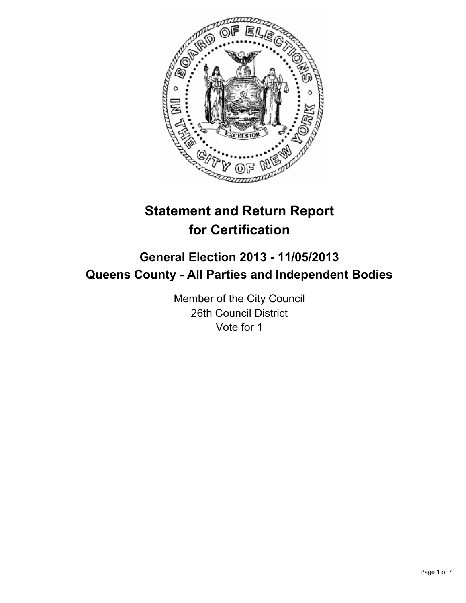

# **Statement and Return Report for Certification**

## **General Election 2013 - 11/05/2013 Queens County - All Parties and Independent Bodies**

Member of the City Council 26th Council District Vote for 1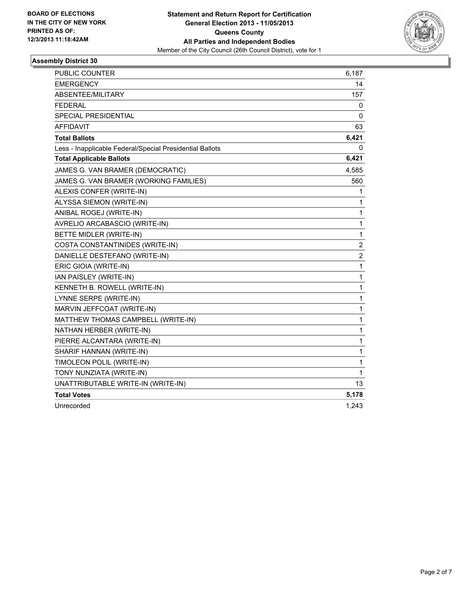

| <b>PUBLIC COUNTER</b>                                    | 6,187          |
|----------------------------------------------------------|----------------|
| <b>EMERGENCY</b>                                         | 14             |
| ABSENTEE/MILITARY                                        | 157            |
| <b>FEDERAL</b>                                           | 0              |
| <b>SPECIAL PRESIDENTIAL</b>                              | 0              |
| <b>AFFIDAVIT</b>                                         | 63             |
| <b>Total Ballots</b>                                     | 6,421          |
| Less - Inapplicable Federal/Special Presidential Ballots | 0              |
| <b>Total Applicable Ballots</b>                          | 6,421          |
| JAMES G. VAN BRAMER (DEMOCRATIC)                         | 4,585          |
| JAMES G. VAN BRAMER (WORKING FAMILIES)                   | 560            |
| ALEXIS CONFER (WRITE-IN)                                 | 1              |
| ALYSSA SIEMON (WRITE-IN)                                 | 1              |
| ANIBAL ROGEJ (WRITE-IN)                                  | 1              |
| AVRELIO ARCABASCIO (WRITE-IN)                            | 1              |
| BETTE MIDLER (WRITE-IN)                                  | 1              |
| COSTA CONSTANTINIDES (WRITE-IN)                          | 2              |
| DANIELLE DESTEFANO (WRITE-IN)                            | $\overline{c}$ |
| ERIC GIOIA (WRITE-IN)                                    | 1              |
| IAN PAISLEY (WRITE-IN)                                   | 1              |
| KENNETH B. ROWELL (WRITE-IN)                             | 1              |
| LYNNE SERPE (WRITE-IN)                                   | 1              |
| MARVIN JEFFCOAT (WRITE-IN)                               | 1              |
| MATTHEW THOMAS CAMPBELL (WRITE-IN)                       | 1              |
| NATHAN HERBER (WRITE-IN)                                 | 1              |
| PIERRE ALCANTARA (WRITE-IN)                              | 1              |
| SHARIF HANNAN (WRITE-IN)                                 | 1              |
| TIMOLEON POLIL (WRITE-IN)                                | 1              |
| TONY NUNZIATA (WRITE-IN)                                 | 1              |
| UNATTRIBUTABLE WRITE-IN (WRITE-IN)                       | 13             |
| <b>Total Votes</b>                                       | 5,178          |
| Unrecorded                                               | 1,243          |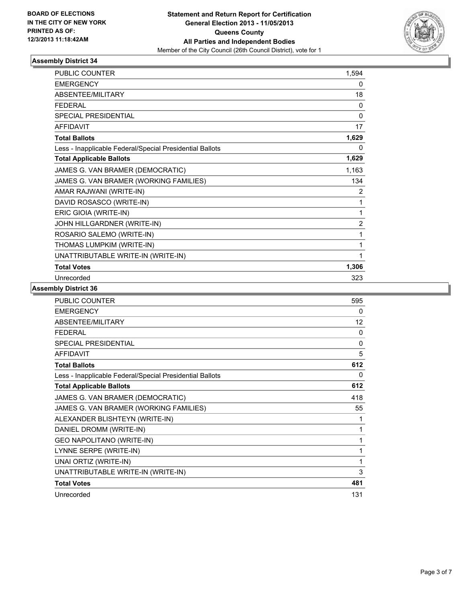

| <b>PUBLIC COUNTER</b>                                    | 1,594          |
|----------------------------------------------------------|----------------|
| <b>EMERGENCY</b>                                         | 0              |
| ABSENTEE/MILITARY                                        | 18             |
| <b>FEDERAL</b>                                           | 0              |
| SPECIAL PRESIDENTIAL                                     | 0              |
| <b>AFFIDAVIT</b>                                         | 17             |
| <b>Total Ballots</b>                                     | 1,629          |
| Less - Inapplicable Federal/Special Presidential Ballots | 0              |
| <b>Total Applicable Ballots</b>                          | 1,629          |
| JAMES G. VAN BRAMER (DEMOCRATIC)                         | 1,163          |
| JAMES G. VAN BRAMER (WORKING FAMILIES)                   | 134            |
| AMAR RAJWANI (WRITE-IN)                                  | 2              |
| DAVID ROSASCO (WRITE-IN)                                 | 1              |
| ERIC GIOIA (WRITE-IN)                                    | 1              |
| JOHN HILLGARDNER (WRITE-IN)                              | $\overline{2}$ |
| ROSARIO SALEMO (WRITE-IN)                                | 1              |
| THOMAS LUMPKIM (WRITE-IN)                                | 1              |
| UNATTRIBUTABLE WRITE-IN (WRITE-IN)                       |                |
| <b>Total Votes</b>                                       | 1,306          |
| Unrecorded                                               | 323            |

| <b>PUBLIC COUNTER</b>                                    | 595      |
|----------------------------------------------------------|----------|
| <b>EMERGENCY</b>                                         | $\Omega$ |
| <b>ABSENTEE/MILITARY</b>                                 | 12       |
| <b>FFDFRAL</b>                                           | 0        |
| <b>SPECIAL PRESIDENTIAL</b>                              | $\Omega$ |
| <b>AFFIDAVIT</b>                                         | 5        |
| <b>Total Ballots</b>                                     | 612      |
| Less - Inapplicable Federal/Special Presidential Ballots | $\Omega$ |
| <b>Total Applicable Ballots</b>                          | 612      |
| JAMES G. VAN BRAMER (DEMOCRATIC)                         | 418      |
| JAMES G. VAN BRAMER (WORKING FAMILIES)                   | 55       |
| ALEXANDER BLISHTEYN (WRITE-IN)                           | 1        |
| DANIEL DROMM (WRITE-IN)                                  | 1        |
| <b>GEO NAPOLITANO (WRITE-IN)</b>                         | 1        |
| LYNNE SERPE (WRITE-IN)                                   | 1        |
| UNAI ORTIZ (WRITE-IN)                                    | 1        |
| UNATTRIBUTABLE WRITE-IN (WRITE-IN)                       | 3        |
| <b>Total Votes</b>                                       | 481      |
| Unrecorded                                               | 131      |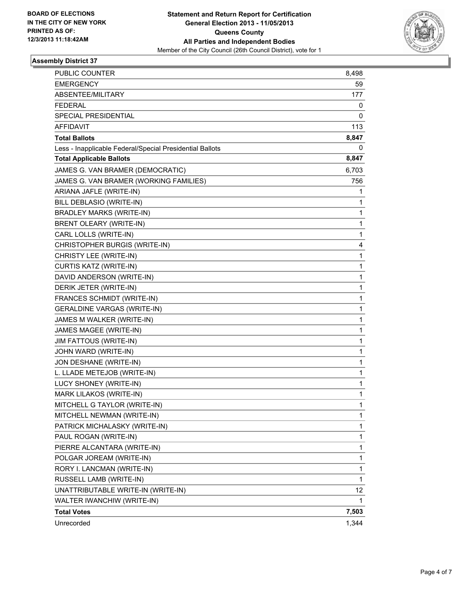

| PUBLIC COUNTER                                           | 8,498       |
|----------------------------------------------------------|-------------|
| <b>EMERGENCY</b>                                         | 59          |
| ABSENTEE/MILITARY                                        | 177         |
| <b>FEDERAL</b>                                           | 0           |
| <b>SPECIAL PRESIDENTIAL</b>                              | 0           |
| <b>AFFIDAVIT</b>                                         | 113         |
| <b>Total Ballots</b>                                     | 8,847       |
| Less - Inapplicable Federal/Special Presidential Ballots | 0           |
| <b>Total Applicable Ballots</b>                          | 8,847       |
| JAMES G. VAN BRAMER (DEMOCRATIC)                         | 6,703       |
| JAMES G. VAN BRAMER (WORKING FAMILIES)                   | 756         |
| ARIANA JAFLE (WRITE-IN)                                  | 1           |
| BILL DEBLASIO (WRITE-IN)                                 | 1           |
| <b>BRADLEY MARKS (WRITE-IN)</b>                          | 1           |
| BRENT OLEARY (WRITE-IN)                                  | 1           |
| CARL LOLLS (WRITE-IN)                                    | 1           |
| CHRISTOPHER BURGIS (WRITE-IN)                            | 4           |
| CHRISTY LEE (WRITE-IN)                                   | 1           |
| CURTIS KATZ (WRITE-IN)                                   | 1           |
| DAVID ANDERSON (WRITE-IN)                                | $\mathbf 1$ |
| DERIK JETER (WRITE-IN)                                   | 1           |
| FRANCES SCHMIDT (WRITE-IN)                               | 1           |
| <b>GERALDINE VARGAS (WRITE-IN)</b>                       | 1           |
| JAMES M WALKER (WRITE-IN)                                | 1           |
| JAMES MAGEE (WRITE-IN)                                   | 1           |
| JIM FATTOUS (WRITE-IN)                                   | $\mathbf 1$ |
| JOHN WARD (WRITE-IN)                                     | 1           |
| JON DESHANE (WRITE-IN)                                   | 1           |
| L. LLADE METEJOB (WRITE-IN)                              | 1           |
| LUCY SHONEY (WRITE-IN)                                   | 1           |
| MARK LILAKOS (WRITE-IN)                                  | 1           |
| MITCHELL G TAYLOR (WRITE-IN)                             | 1           |
| MITCHELL NEWMAN (WRITE-IN)                               | 1           |
| PATRICK MICHALASKY (WRITE-IN)                            | 1           |
| PAUL ROGAN (WRITE-IN)                                    | 1           |
| PIERRE ALCANTARA (WRITE-IN)                              | 1           |
| POLGAR JOREAM (WRITE-IN)                                 | 1           |
| RORY I. LANCMAN (WRITE-IN)                               | 1           |
| RUSSELL LAMB (WRITE-IN)                                  | 1           |
| UNATTRIBUTABLE WRITE-IN (WRITE-IN)                       | 12          |
| WALTER IWANCHIW (WRITE-IN)                               | 1           |
| <b>Total Votes</b>                                       | 7,503       |
| Unrecorded                                               | 1,344       |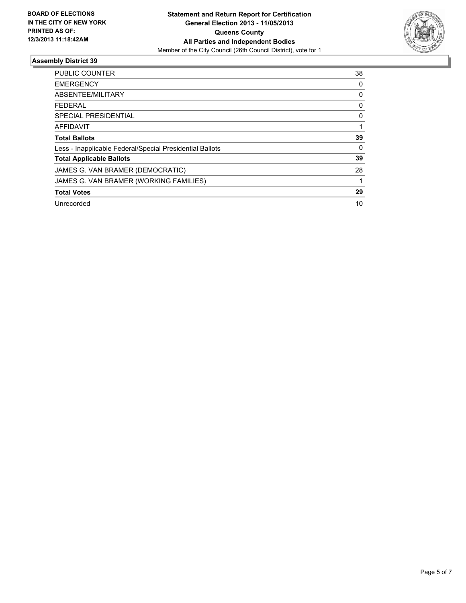

| <b>PUBLIC COUNTER</b>                                    | 38       |
|----------------------------------------------------------|----------|
| <b>EMERGENCY</b>                                         | 0        |
| ABSENTEE/MILITARY                                        | 0        |
| <b>FEDERAL</b>                                           | 0        |
| SPECIAL PRESIDENTIAL                                     | 0        |
| AFFIDAVIT                                                |          |
| <b>Total Ballots</b>                                     | 39       |
| Less - Inapplicable Federal/Special Presidential Ballots | $\Omega$ |
| <b>Total Applicable Ballots</b>                          | 39       |
| JAMES G. VAN BRAMER (DEMOCRATIC)                         | 28       |
| JAMES G. VAN BRAMER (WORKING FAMILIES)                   |          |
| <b>Total Votes</b>                                       | 29       |
| Unrecorded                                               | 10       |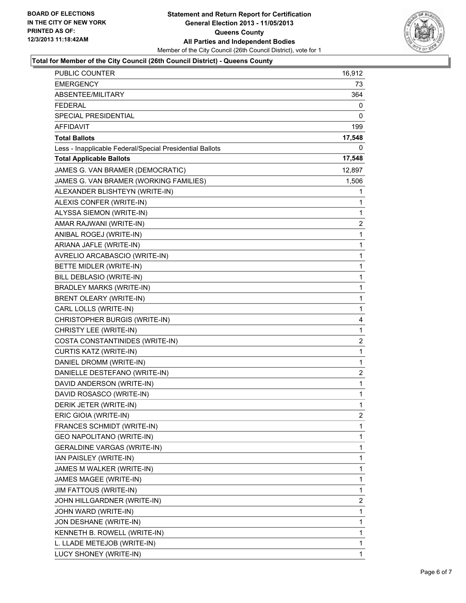

### **Total for Member of the City Council (26th Council District) - Queens County**

| PUBLIC COUNTER                                           | 16,912         |
|----------------------------------------------------------|----------------|
| <b>EMERGENCY</b>                                         | 73             |
| ABSENTEE/MILITARY                                        | 364            |
| <b>FEDERAL</b>                                           | 0              |
| SPECIAL PRESIDENTIAL                                     | 0              |
| <b>AFFIDAVIT</b>                                         | 199            |
| <b>Total Ballots</b>                                     | 17,548         |
| Less - Inapplicable Federal/Special Presidential Ballots | 0              |
| <b>Total Applicable Ballots</b>                          | 17,548         |
| JAMES G. VAN BRAMER (DEMOCRATIC)                         | 12,897         |
| JAMES G. VAN BRAMER (WORKING FAMILIES)                   | 1,506          |
| ALEXANDER BLISHTEYN (WRITE-IN)                           | 1              |
| ALEXIS CONFER (WRITE-IN)                                 | 1              |
| ALYSSA SIEMON (WRITE-IN)                                 | 1              |
| AMAR RAJWANI (WRITE-IN)                                  | 2              |
| ANIBAL ROGEJ (WRITE-IN)                                  | 1              |
| ARIANA JAFLE (WRITE-IN)                                  | 1              |
| AVRELIO ARCABASCIO (WRITE-IN)                            | $\mathbf{1}$   |
| BETTE MIDLER (WRITE-IN)                                  | 1              |
| BILL DEBLASIO (WRITE-IN)                                 | 1              |
| <b>BRADLEY MARKS (WRITE-IN)</b>                          | 1              |
| BRENT OLEARY (WRITE-IN)                                  | 1              |
| CARL LOLLS (WRITE-IN)                                    | 1              |
| CHRISTOPHER BURGIS (WRITE-IN)                            | 4              |
| CHRISTY LEE (WRITE-IN)                                   | 1              |
| COSTA CONSTANTINIDES (WRITE-IN)                          | $\overline{2}$ |
| CURTIS KATZ (WRITE-IN)                                   | $\mathbf{1}$   |
| DANIEL DROMM (WRITE-IN)                                  | 1              |
| DANIELLE DESTEFANO (WRITE-IN)                            | $\overline{2}$ |
| DAVID ANDERSON (WRITE-IN)                                | $\mathbf{1}$   |
| DAVID ROSASCO (WRITE-IN)                                 | 1              |
| DERIK JETER (WRITE-IN)                                   | 1              |
| ERIC GIOIA (WRITE-IN)                                    | $\overline{2}$ |
| FRANCES SCHMIDT (WRITE-IN)                               | 1              |
| GEO NAPOLITANO (WRITE-IN)                                | 1              |
| GERALDINE VARGAS (WRITE-IN)                              | 1              |
| IAN PAISLEY (WRITE-IN)                                   | 1              |
| JAMES M WALKER (WRITE-IN)                                | 1              |
| JAMES MAGEE (WRITE-IN)                                   | 1              |
| JIM FATTOUS (WRITE-IN)                                   | 1              |
| JOHN HILLGARDNER (WRITE-IN)                              | $\overline{2}$ |
| JOHN WARD (WRITE-IN)                                     | 1              |
| JON DESHANE (WRITE-IN)                                   | 1              |
| KENNETH B. ROWELL (WRITE-IN)                             | 1              |
| L. LLADE METEJOB (WRITE-IN)                              | 1              |
| LUCY SHONEY (WRITE-IN)                                   | 1              |